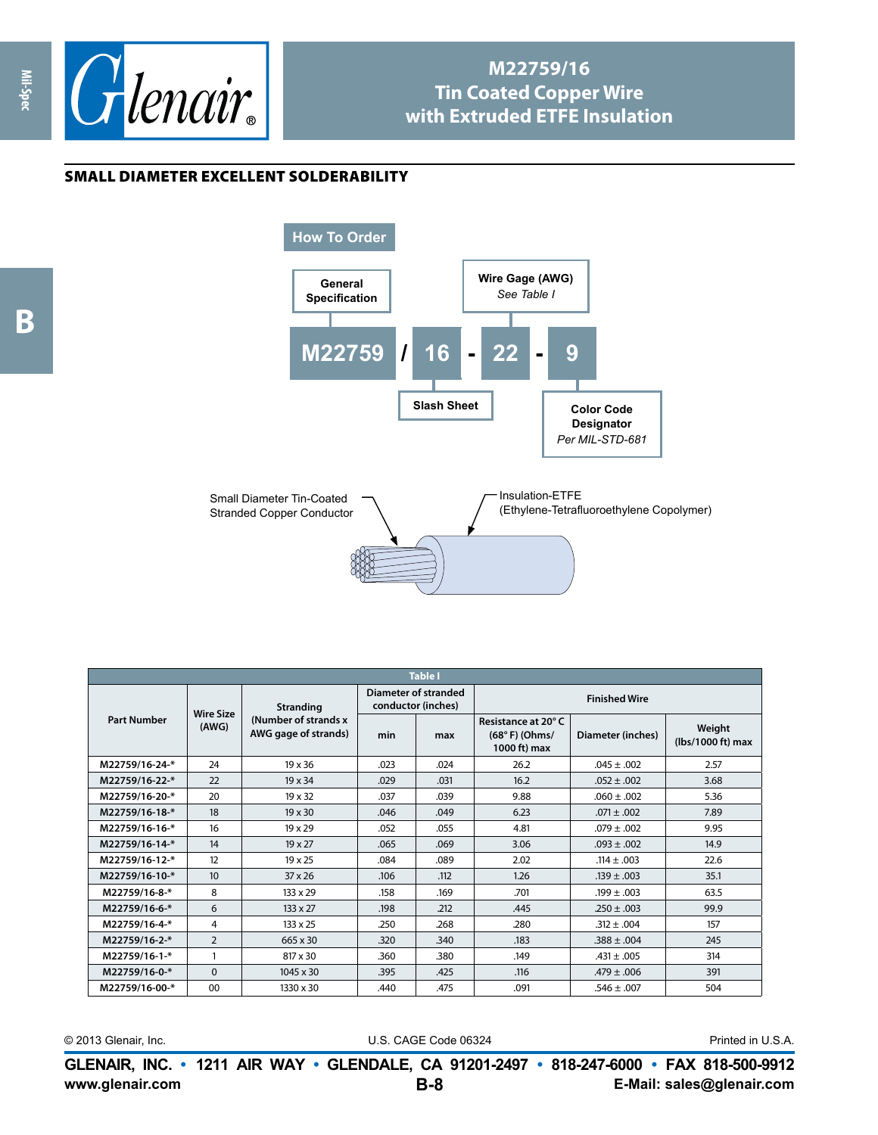

## **M22759/16 Tin Coated Copper Wire with Extruded ETFE Insulation**

Insulation-ETFE

(Ethylene-Tetrafluoroethylene Copolymer)

## small diameter excellent solderability

**Mil-Spec**

**How To Order General Specification Slash Sheet** | **Color** Code **Designator** *Per MIL-STD-681* **Wire Gage (AWG)** *See Table I* **M22759 / 16 - 22 - 9**



**Table I Part Number Wire Size (AWG) Stranding (Number of strands x AWG gage of strands) Diameter of stranded conductor (inches) Finished Wire min max Resistance at 20° C (68° F) (Ohms/ 1000 ft) max Diameter (inches) Weight (lbs/1000 ft) max M22759/16-24-\*** 24 19 x 36 .023 .024 26.2 .045 ± .002 2.57 **M22759/16-22-\*** 22 19 x 34 .029 .031 16.2 .052 ± .002 3.68 **M22759/16-20-\*** 20 19 x 32 .037 .039 9.88 .060 ± .002 .5.36 **M22759/16-18-\*** 18 19 x 30 .046 .049 6.23 .071 ± .002 .7.89 **M22759/16-16-\*** 16 19 x 29 .052 .055 .055 .079 ± .002 .079 ± .002 **M22759/16-14-\*** 14 19 x 27 .065 .069 3.06 .093 ± .002 14.9 **M22759/16-12-\*** 12 19 x 25 .084 .089 2.02 .114 ± .003 22.6 **M22759/16-10-\*** 10 37x26 .105 .112 .126 .139 ± .003 .139 ± .003 **M22759/16-8-\*** 8 133 x 29 .158 .169 .701 .199 ± .003 63.5 **M22759/16-6-\*** 6 133 x 27 .198 .212 .445 .250 ± .003 .399.9 **M22759/16-4-\*** 4 133 x 25 .250 .268 .280 .312 ± .004 157 **M22759/16-2-\*** 2 665 x 30 .320 .340 .383 .388 ± .004 .345 **M22759/16-1-\*** 1 1 817 x 30 .360 .380 .149 .431 ± .005 .314 **M22759/16-0-\*** 0 0 1045 x 30 395 .425 .116 .479 ± .006 391 **M22759/16-00-\*** 00 1330 x 30 .440 .475 .091 .546 ± .007 .504

© 2013 Glenair, Inc. U.S. CAGE Code 06324 Printed in U.S.A.

**www.glenair.com E-Mail: sales@glenair.com GLENAIR, INC. • 1211 AIR WAY • GLENDALE, CA 91201-2497 • 818-247-6000 • FAX 818-500-9912 B-8**